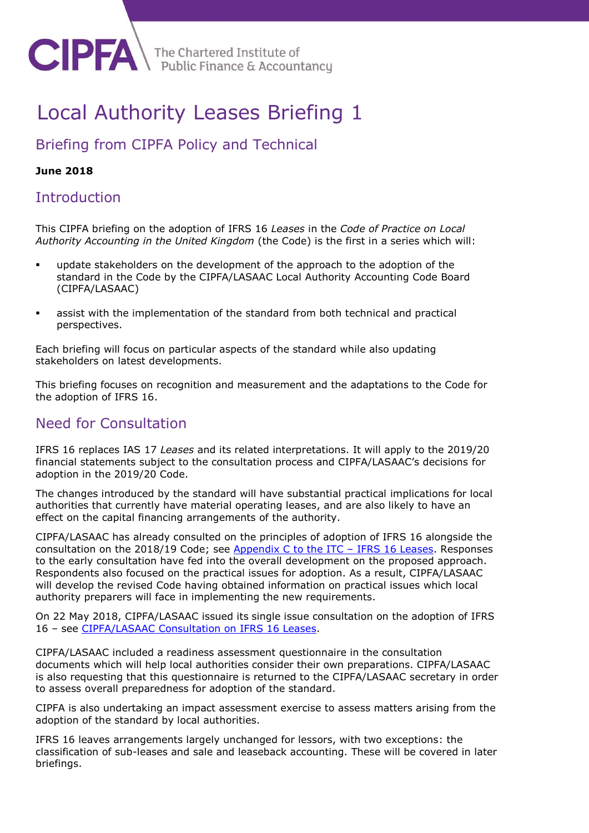

# Local Authority Leases Briefing 1

## Briefing from CIPFA Policy and Technical

#### **June 2018**

## **Introduction**

**CIPFA** 

This CIPFA briefing on the adoption of IFRS 16 *Leases* in the *Code of Practice on Local Authority Accounting in the United Kingdom* (the Code) is the first in a series which will:

- update stakeholders on the development of the approach to the adoption of the standard in the Code by the CIPFA/LASAAC Local Authority Accounting Code Board (CIPFA/LASAAC)
- assist with the implementation of the standard from both technical and practical perspectives.

Each briefing will focus on particular aspects of the standard while also updating stakeholders on latest developments.

This briefing focuses on recognition and measurement and the adaptations to the Code for the adoption of IFRS 16.

## Need for Consultation

IFRS 16 replaces IAS 17 *Leases* and its related interpretations. It will apply to the 2019/20 financial statements subject to the consultation process and CIPFA/LASAAC's decisions for adoption in the 2019/20 Code.

The changes introduced by the standard will have substantial practical implications for local authorities that currently have material operating leases, and are also likely to have an effect on the capital financing arrangements of the authority.

CIPFA/LASAAC has already consulted on the principles of adoption of IFRS 16 alongside the consultation on the 2018/19 Code; see [Appendix C to the ITC](http://www.cipfa.org/~/media/files/policy%20and%20guidance/consultations/07072017%20the%20code/appendixcifrs16leases.pdf?la=en) – IFRS 16 Leases. Responses to the early consultation have fed into the overall development on the proposed approach. Respondents also focused on the practical issues for adoption. As a result, CIPFA/LASAAC will develop the revised Code having obtained information on practical issues which local authority preparers will face in implementing the new requirements.

On 22 May 2018, CIPFA/LASAAC issued its single issue consultation on the adoption of IFRS 16 – see [CIPFA/LASAAC Consultation on IFRS 16 Leases.](http://www.cipfa.org/policy-and-guidance/consultations/code-of-practice-on-local-authority-accounting-in-the-united-kingdom,-c-,-consultation-on-ifrs-16-leases)

CIPFA/LASAAC included a readiness assessment questionnaire in the consultation documents which will help local authorities consider their own preparations. CIPFA/LASAAC is also requesting that this questionnaire is returned to the CIPFA/LASAAC secretary in order to assess overall preparedness for adoption of the standard.

CIPFA is also undertaking an impact assessment exercise to assess matters arising from the adoption of the standard by local authorities.

IFRS 16 leaves arrangements largely unchanged for lessors, with two exceptions: the classification of sub-leases and sale and leaseback accounting. These will be covered in later briefings.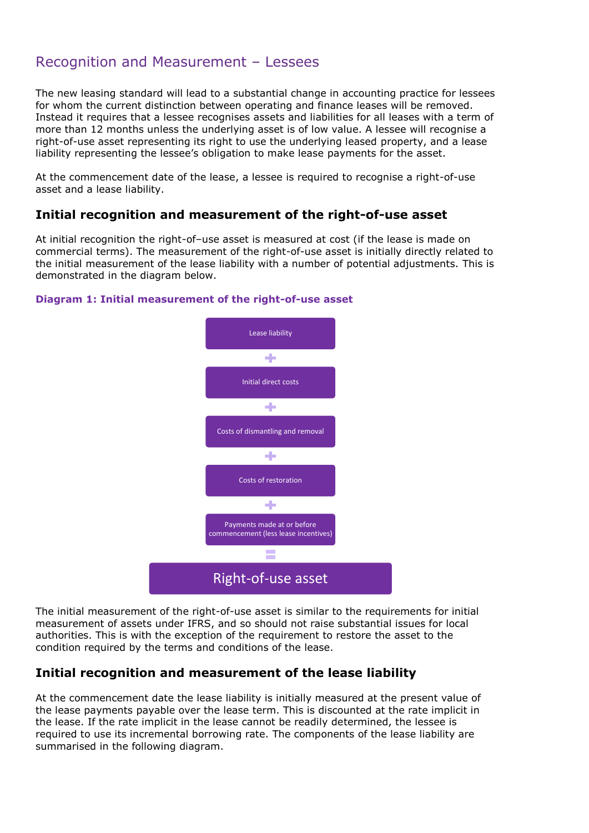## Recognition and Measurement – Lessees

The new leasing standard will lead to a substantial change in accounting practice for lessees for whom the current distinction between operating and finance leases will be removed. Instead it requires that a lessee recognises assets and liabilities for all leases with a term of more than 12 months unless the underlying asset is of low value. A lessee will recognise a right-of-use asset representing its right to use the underlying leased property, and a lease liability representing the lessee's obligation to make lease payments for the asset.

At the commencement date of the lease, a lessee is required to recognise a right-of-use asset and a lease liability.

#### **Initial recognition and measurement of the right-of-use asset**

At initial recognition the right-of–use asset is measured at cost (if the lease is made on commercial terms). The measurement of the right-of-use asset is initially directly related to the initial measurement of the lease liability with a number of potential adjustments. This is demonstrated in the diagram below.



#### **Diagram 1: Initial measurement of the right-of-use asset**

The initial measurement of the right-of-use asset is similar to the requirements for initial measurement of assets under IFRS, and so should not raise substantial issues for local authorities. This is with the exception of the requirement to restore the asset to the condition required by the terms and conditions of the lease.

#### **Initial recognition and measurement of the lease liability**

At the commencement date the lease liability is initially measured at the present value of the lease payments payable over the lease term. This is discounted at the rate implicit in the lease. If the rate implicit in the lease cannot be readily determined, the lessee is required to use its incremental borrowing rate. The components of the lease liability are summarised in the following diagram.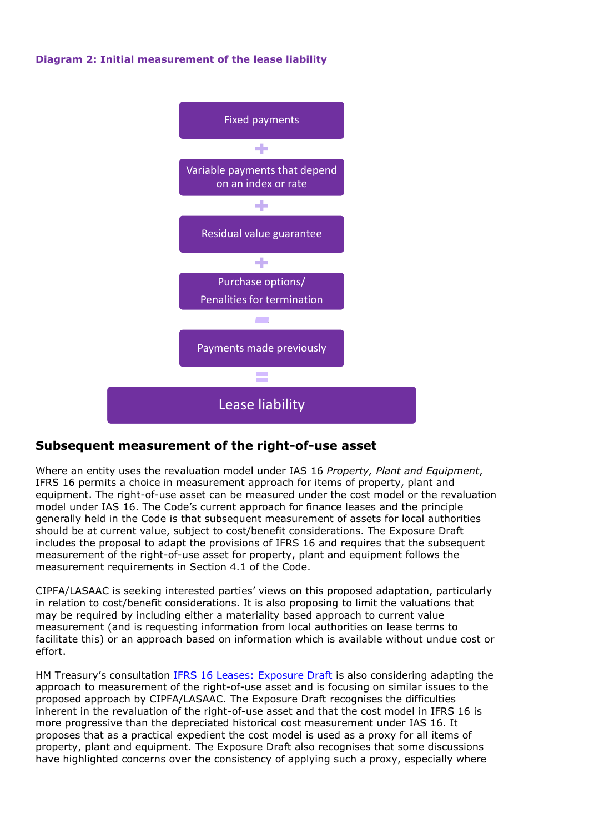#### **Diagram 2: Initial measurement of the lease liability**



#### **Subsequent measurement of the right-of-use asset**

Where an entity uses the revaluation model under IAS 16 *Property, Plant and Equipment*, IFRS 16 permits a choice in measurement approach for items of property, plant and equipment. The right-of-use asset can be measured under the cost model or the revaluation model under IAS 16. The Code's current approach for finance leases and the principle generally held in the Code is that subsequent measurement of assets for local authorities should be at current value, subject to cost/benefit considerations. The Exposure Draft includes the proposal to adapt the provisions of IFRS 16 and requires that the subsequent measurement of the right-of-use asset for property, plant and equipment follows the measurement requirements in Section 4.1 of the Code.

CIPFA/LASAAC is seeking interested parties' views on this proposed adaptation, particularly in relation to cost/benefit considerations. It is also proposing to limit the valuations that may be required by including either a materiality based approach to current value measurement (and is requesting information from local authorities on lease terms to facilitate this) or an approach based on information which is available without undue cost or effort.

HM Treasury's consultation [IFRS 16 Leases: Exposure Draft](https://www.gov.uk/government/consultations/ifrs-16-leases-exposure-draft-1801) is also considering adapting the approach to measurement of the right-of-use asset and is focusing on similar issues to the proposed approach by CIPFA/LASAAC. The Exposure Draft recognises the difficulties inherent in the revaluation of the right-of-use asset and that the cost model in IFRS 16 is more progressive than the depreciated historical cost measurement under IAS 16. It proposes that as a practical expedient the cost model is used as a proxy for all items of property, plant and equipment. The Exposure Draft also recognises that some discussions have highlighted concerns over the consistency of applying such a proxy, especially where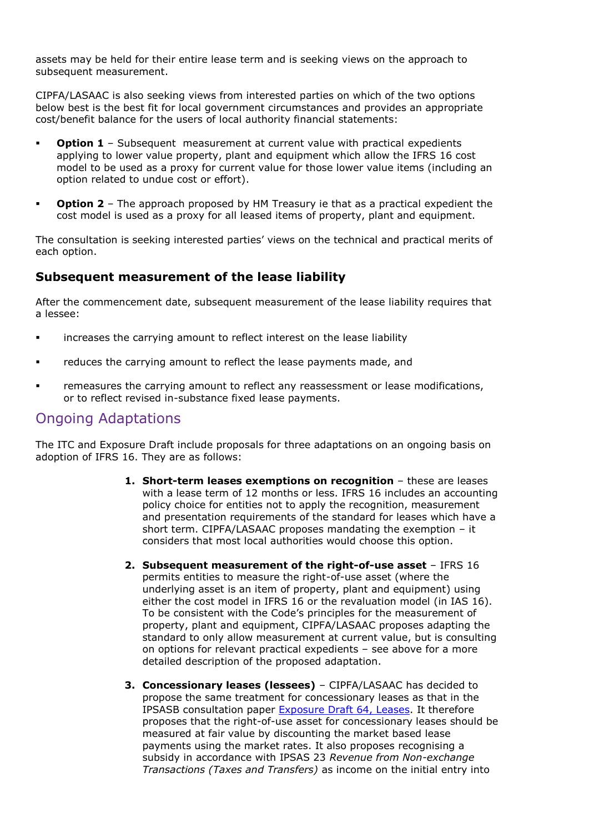assets may be held for their entire lease term and is seeking views on the approach to subsequent measurement.

CIPFA/LASAAC is also seeking views from interested parties on which of the two options below best is the best fit for local government circumstances and provides an appropriate cost/benefit balance for the users of local authority financial statements:

- **Option 1** Subsequent measurement at current value with practical expedients applying to lower value property, plant and equipment which allow the IFRS 16 cost model to be used as a proxy for current value for those lower value items (including an option related to undue cost or effort).
- **Option 2**  The approach proposed by HM Treasury ie that as a practical expedient the cost model is used as a proxy for all leased items of property, plant and equipment.

The consultation is seeking interested parties' views on the technical and practical merits of each option.

#### **Subsequent measurement of the lease liability**

After the commencement date, subsequent measurement of the lease liability requires that a lessee:

- increases the carrying amount to reflect interest on the lease liability
- reduces the carrying amount to reflect the lease payments made, and
- remeasures the carrying amount to reflect any reassessment or lease modifications, or to reflect revised in-substance fixed lease payments.

### Ongoing Adaptations

The ITC and Exposure Draft include proposals for three adaptations on an ongoing basis on adoption of IFRS 16. They are as follows:

- **1. Short-term leases exemptions on recognition** these are leases with a lease term of 12 months or less. IFRS 16 includes an accounting policy choice for entities not to apply the recognition, measurement and presentation requirements of the standard for leases which have a short term. CIPFA/LASAAC proposes mandating the exemption – it considers that most local authorities would choose this option.
- **2. Subsequent measurement of the right-of-use asset** IFRS 16 permits entities to measure the right-of-use asset (where the underlying asset is an item of property, plant and equipment) using either the cost model in IFRS 16 or the revaluation model (in IAS 16). To be consistent with the Code's principles for the measurement of property, plant and equipment, CIPFA/LASAAC proposes adapting the standard to only allow measurement at current value, but is consulting on options for relevant practical expedients – see above for a more detailed description of the proposed adaptation.
- **3. Concessionary leases (lessees)** CIPFA/LASAAC has decided to propose the same treatment for concessionary leases as that in the IPSASB consultation paper [Exposure Draft 64, Leases.](http://www.ifac.org/publications-resources/exposure-draft-64-leases) It therefore proposes that the right-of-use asset for concessionary leases should be measured at fair value by discounting the market based lease payments using the market rates. It also proposes recognising a subsidy in accordance with IPSAS 23 *Revenue from Non-exchange Transactions (Taxes and Transfers)* as income on the initial entry into